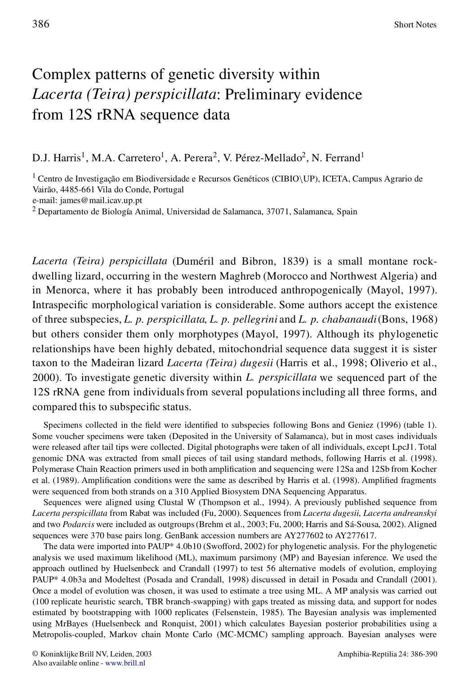## Complex patterns of genetic diversity within *Lacerta (Teira) perspicillata*: Preliminary evidence from 12S rRNA sequence data

D.J. Harris<sup>1</sup>, M.A. Carretero<sup>1</sup>, A. Perera<sup>2</sup>, V. Pérez-Mellado<sup>2</sup>, N. Ferrand<sup>1</sup>

<sup>1</sup> Centro de Investigação em Biodiversidade e Recursos Genéticos (CIBIO\UP), ICETA, Campus Agrario de Vairão, 4485-661 Vila do Conde, Portugal

e-mail: james@mail.icav.up.pt

<sup>2</sup> Departamento de Biología Animal, Universidad de Salamanca, 37071, Salamanca, Spain

*Lacerta (Teira) perspicillata* (Duméril and Bibron, 1839) is a small montane rockdwelling lizard, occurring in the western Maghreb (Morocco and Northwest Algeria) and in Menorca, where it has probably been introduced anthropogenically (Mayol, 1997). Intraspecific morphological variation is considerable. Some authors accept the existence of three subspecies, *L. p. perspicillata*, *L. p. pellegrini* and *L. p. chabanaudi*(Bons, 1968) but others consider them only morphotypes (Mayol, 1997). Although its phylogenetic relationships have been highly debated, mitochondrial sequence data suggest it is sister taxon to the Madeiran lizard *Lacerta (Teira) dugesii* (Harris et al., 1998; Oliverio et al., 2000). To investigate genetic diversity within *L. perspicillata* we sequenced part of the 12S rRNA gene from individualsfrom several populationsincluding all three forms, and compared this to subspecific status.

Specimens collected in the field were identified to subspecies following Bons and Geniez (1996) (table 1). Some voucher specimens were taken (Deposited in the University of Salamanca), but in most cases individuals were released after tail tips were collected. Digital photographs were taken of all individuals, except LpcJ1. Total genomic DNA was extracted from small pieces of tail using standard methods, following Harris et al. (1998). Polymerase Chain Reaction primers used in both amplification and sequencing were 12Sa and 12Sb from Kocher et al. (1989). Amplification conditions were the same as described by Harris et al. (1998). Amplified fragments were sequenced from both strands on a 310 Applied Biosystem DNA Sequencing Apparatus.

Sequences were aligned using Clustal W (Thompson et al., 1994). A previously published sequence from *Lacerta perspicillata* from Rabat was included (Fu, 2000). Sequences from *Lacerta dugesii*, *Lacerta andreanskyi* and two *Podarcis* were included as outgroups(Brehm et al., 2003; Fu, 2000; Harris and Sá-Sousa, 2002). Aligned sequences were 370 base pairs long. GenBank accession numbers are AY277602 to AY277617.

The data were imported into PAUP\* 4.0b10 (Swofford, 2002) for phylogenetic analysis. For the phylogenetic analysis we used maximum likelihood (ML), maximum parsimony (MP) and Bayesian inference. We used the approach outlined by Huelsenbeck and Crandall (1997) to test 56 alternative models of evolution, employing PAUP\* 4.0b3a and Modeltest (Posada and Crandall, 1998) discussed in detail in Posada and Crandall (2001). Once a model of evolution was chosen, it was used to estimate a tree using ML. A MP analysis was carried out (100 replicate heuristic search, TBR branch-swapping) with gaps treated as missing data, and support for nodes estimated by bootstrapping with 1000 replicates (Felsenstein, 1985). The Bayesian analysis was implemented using MrBayes (Huelsenbeck and Ronquist, 2001) which calculates Bayesian posterior probabilities using a Metropolis-coupled, Markov chain Monte Carlo (MC-MCMC) sampling approach. Bayesian analyses were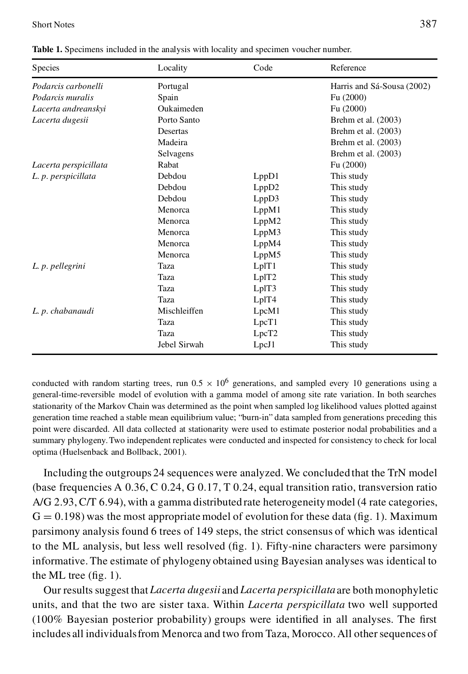Short Notes 387

| Species               | Locality     | Code              | Reference                  |
|-----------------------|--------------|-------------------|----------------------------|
| Podarcis carbonelli   | Portugal     |                   | Harris and Sá-Sousa (2002) |
| Podarcis muralis      | Spain        |                   | Fu (2000)                  |
| Lacerta andreanskyi   | Oukaimeden   |                   | Fu (2000)                  |
| Lacerta dugesii       | Porto Santo  |                   | Brehm et al. $(2003)$      |
|                       | Desertas     |                   | Brehm et al. (2003)        |
|                       | Madeira      |                   | Brehm et al. (2003)        |
|                       | Selvagens    |                   | Brehm et al. (2003)        |
| Lacerta perspicillata | Rabat        |                   | Fu (2000)                  |
| L. p. perspicillata   | Debdou       | LppD1             | This study                 |
|                       | Debdou       | LppD2             | This study                 |
|                       | Debdou       | LppD3             | This study                 |
|                       | Menorca      | LppM1             | This study                 |
|                       | Menorca      | LppM2             | This study                 |
|                       | Menorca      | LppM3             | This study                 |
|                       | Menorca      | LppM4             | This study                 |
|                       | Menorca      | LppM5             | This study                 |
| L. p. pellegrini      | Taza         | LplT1             | This study                 |
|                       | Taza         | LpIT2             | This study                 |
|                       | Taza         | LplT3             | This study                 |
|                       | Taza         | LplT4             | This study                 |
| L. p. chabanaudi      | Mischleiffen | LpcM1             | This study                 |
|                       | Taza         | LpcT1             | This study                 |
|                       | Taza         | LpcT <sub>2</sub> | This study                 |
|                       | Jebel Sirwah | LpcJ1             | This study                 |

**Table 1.** Specimens included in the analysis with locality and specimen voucher number.

conducted with random starting trees, run  $0.5 \times 10^6$  generations, and sampled every 10 generations using a general-time-reversible model of evolution with a gamma model of among site rate variation. In both searches stationarity of the Markov Chain was determined as the point when sampled log likelihood values plotted against generation time reached a stable mean equilibrium value; "burn-in" data sampled from generations preceding this point were discarded. All data collected at stationarity were used to estimate posterior nodal probabilities and a summary phylogeny.Two independent replicates were conducted and inspected for consistency to check for local optima (Huelsenback and Bollback, 2001).

Including the outgroups 24 sequences were analyzed. We concluded that the TrN model (base frequencies A  $0.36$ , C  $0.24$ , G  $0.17$ , T  $0.24$ , equal transition ratio, transversion ratio A/G 2.93, C/T 6.94), with a gamma distributed rate heterogeneitymodel (4 rate categories,  $G = 0.198$ ) was the most appropriate model of evolution for these data (fig. 1). Maximum parsimony analysis found 6 trees of 149 steps, the strict consensus of which was identical to the ML analysis, but less well resolved  $(f_1g, 1)$ . Fifty-nine characters were parsimony informative. The estimate of phylogeny obtained using Bayesian analyses was identical to the ML tree  $(fig. 1)$ .

Our results suggest that *Lacerta dugesii* and *Lacerta perspicillata*are bothmonophyletic units, and that the two are sister taxa. Within *Lacerta perspicillata* two well supported  $(100\%$  Bayesian posterior probability) groups were identified in all analyses. The first includes all individuals from Menorca and two from Taza, Morocco. All other sequences of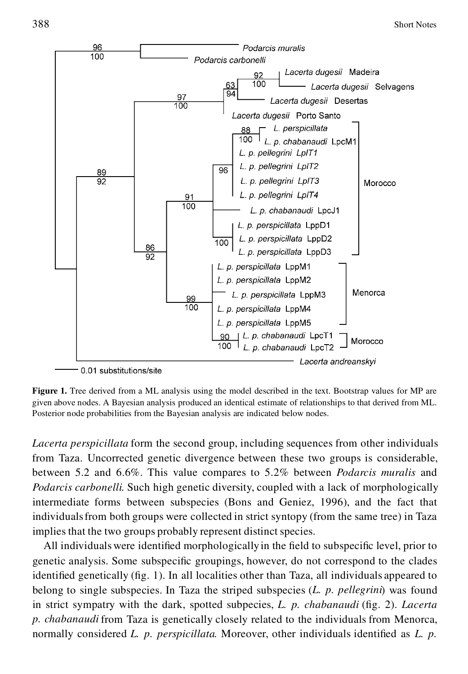

0.01 substitutions/site

**Figure 1.** Tree derived from a ML analysis using the model described in the text. Bootstrap values for MP are given above nodes. A Bayesian analysis produced an identical estimate of relationships to that derived from ML. Posterior node probabilities from the Bayesian analysis are indicated below nodes.

*Lacerta perspicillata* form the second group, including sequences from other individuals from Taza. Uncorrected genetic divergence between these two groups is considerable, between 5.2 and 6.6%. This value compares to 5.2% between *Podarcis muralis* and *Podarcis carbonelli*. Such high genetic diversity, coupled with a lack of morphologically intermediate forms between subspecies (Bons and Geniez, 1996), and the fact that individualsfrom both groups were collected in strict syntopy (from the same tree) in Taza implies that the two groups probably represent distinct species.

All individuals were identified morphologically in the field to subspecific level, prior to genetic analysis. Some subspecific groupings, however, do not correspond to the clades identified genetically  $( fig. 1)$ . In all localities other than Taza, all individuals appeared to belong to single subspecies. In Taza the striped subspecies (*L. p. pellegrini*) was found in strict sympatry with the dark, spotted subpecies, *L. p. chabanaudi* (fig. 2). *Lacerta p. chabanaudi* from Taza is genetically closely related to the individuals from Menorca, normally considered *L. p. perspicillata*. Moreover, other individuals identified as *L. p.*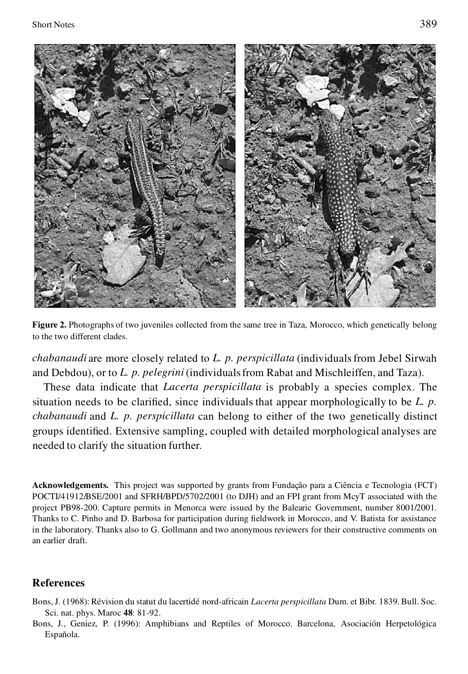



**Figure 2.** Photographs of two juveniles collected from the same tree in Taza, Morocco, which genetically belong to the two different clades.

*chabanaudi* are more closely related to *L. p. perspicillata* (individualsfrom Jebel Sirwah and Debdou), or to *L. p. pelegrini* (individualsfrom Rabat and Mischleiffen, and Taza).

These data indicate that *Lacerta perspicillata* is probably a species complex. The situation needs to be clarified, since individuals that appear morphologically to be *L. p. chabanaudi* and *L. p. perspicillata* can belong to either of the two genetically distinct groups identified. Extensive sampling, coupled with detailed morphological analyses are needed to clarify the situation further.

**Acknowledgements.** This project was supported by grants from Fundação para a Ciência e Tecnologia (FCT) POCTI/41912/BSE/2001 and SFRH/BPD/5702/2001 (to DJH) and an FPI grant from McyT associated with the project PB98-200. Capture permits in Menorca were issued by the Balearic Government, number 8001/2001. Thanks to C. Pinho and D. Barbosa for participation during fieldwork in Morocco, and V. Batista for assistance in the laboratory. Thanks also to G. Gollmann and two anonymous reviewers for their constructive comments on an earlier draft.

## **References**

- Bons, J. (1968): Révision du statut du lacertidé nord-africain *Lacerta perspicillata* Dum. et Bibr. 1839. Bull. Soc. Sci. nat. phys. Maroc **48**: 81-92.
- Bons, J., Geniez, P. (1996): Amphibians and Reptiles of Morocco. Barcelona, Asociación Herpetológica Española.